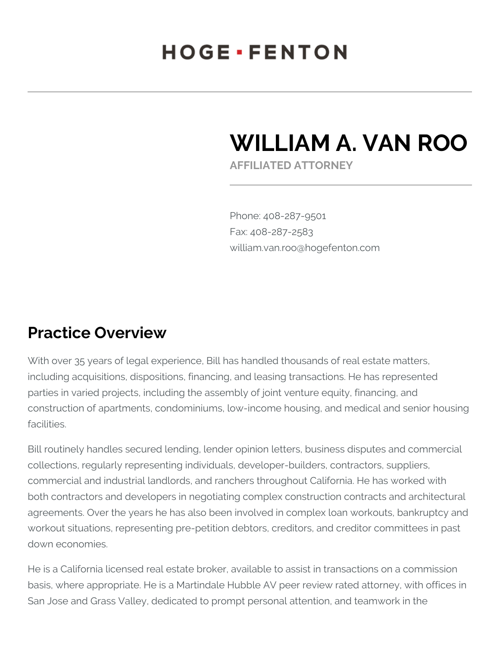## **HOGE** · FENTON

# **WILLIAM A. VAN ROO**

**AFFILIATED ATTORNEY**

Phone: 408-287-9501 Fax: 408-287-2583 william.van.roo@hogefenton.com

#### **Practice Overview**

With over 35 years of legal experience, Bill has handled thousands of real estate matters, including acquisitions, dispositions, financing, and leasing transactions. He has represented parties in varied projects, including the assembly of joint venture equity, financing, and construction of apartments, condominiums, low-income housing, and medical and senior housing facilities.

Bill routinely handles secured lending, lender opinion letters, business disputes and commercial collections, regularly representing individuals, developer-builders, contractors, suppliers, commercial and industrial landlords, and ranchers throughout California. He has worked with both contractors and developers in negotiating complex construction contracts and architectural agreements. Over the years he has also been involved in complex loan workouts, bankruptcy and workout situations, representing pre-petition debtors, creditors, and creditor committees in past down economies.

He is a California licensed real estate broker, available to assist in transactions on a commission basis, where appropriate. He is a Martindale Hubble AV peer review rated attorney, with offices in San Jose and Grass Valley, dedicated to prompt personal attention, and teamwork in the